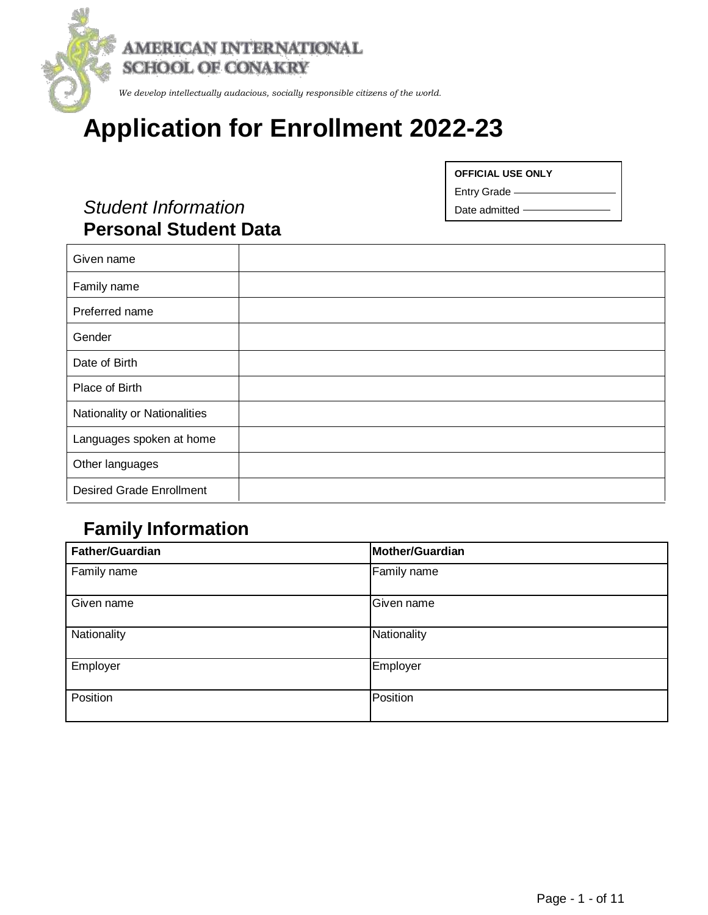

# **Application for Enrollment 2022-23**

## *Student Information*  **Personal Student Data**

**OFFICIAL USE ONLY**

Entry Grade

Date admitted

| Given name                      |  |
|---------------------------------|--|
| Family name                     |  |
| Preferred name                  |  |
| Gender                          |  |
| Date of Birth                   |  |
| Place of Birth                  |  |
| Nationality or Nationalities    |  |
| Languages spoken at home        |  |
| Other languages                 |  |
| <b>Desired Grade Enrollment</b> |  |

## **Family Information**

| <b>Father/Guardian</b> | Mother/Guardian |
|------------------------|-----------------|
| Family name            | Family name     |
| Given name             | Given name      |
| Nationality            | Nationality     |
| Employer               | Employer        |
| Position               | Position        |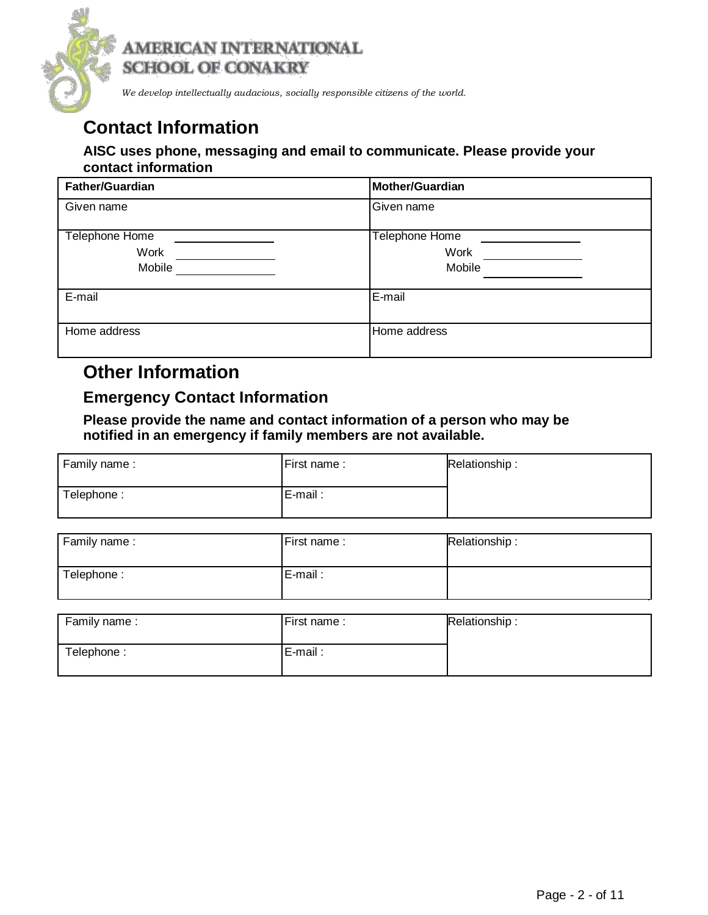

*We develop intellectually audacious, socially responsible citizens of the world.*

## **Contact Information**

#### **AISC uses phone, messaging and email to communicate. Please provide your contact information**

| <b>Father/Guardian</b> | Mother/Guardian |
|------------------------|-----------------|
| Given name             | Given name      |
| Telephone Home         | Telephone Home  |
| Work                   | <b>Work</b>     |
| Mobile                 | Mobile          |
| E-mail                 | E-mail          |
| Home address           | Home address    |

### **Other Information**

### **Emergency Contact Information**

**Please provide the name and contact information of a person who may be notified in an emergency if family members are not available.**

| Family name: | First name: | Relationship: |
|--------------|-------------|---------------|
| Telephone:   | E-mail:     |               |

| Relationship: |
|---------------|
|               |
|               |

| Family name: | First name: | Relationship: |
|--------------|-------------|---------------|
| Telephone:   | E-mail:     |               |
|              |             |               |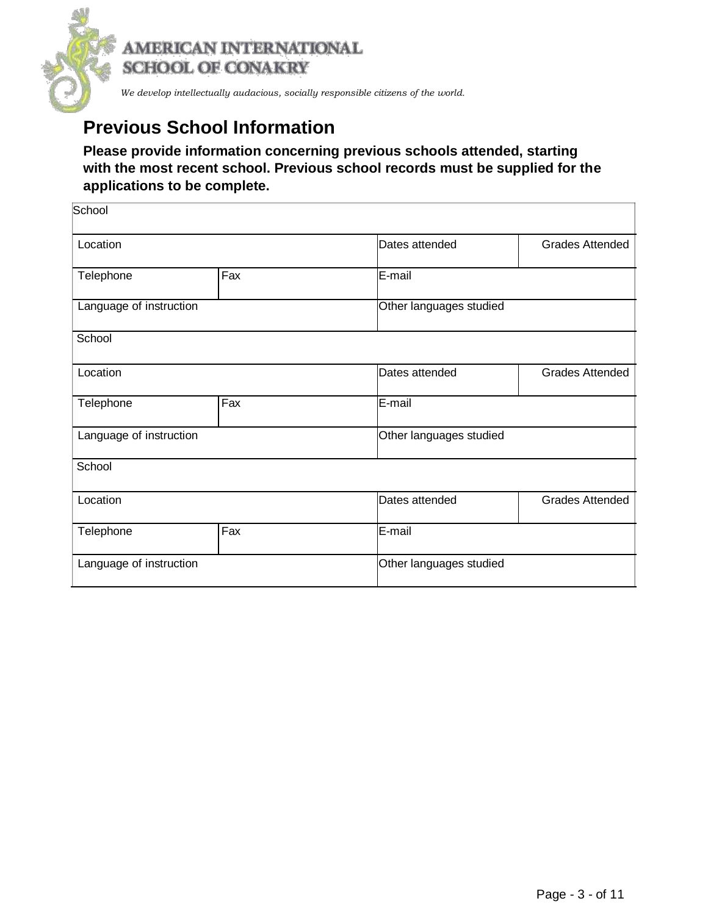

## **Previous School Information**

### **Please provide information concerning previous schools attended, starting with the most recent school. Previous school records must be supplied for the applications to be complete.**

| School                  |                         |                         |                        |
|-------------------------|-------------------------|-------------------------|------------------------|
| Location                |                         | Dates attended          | <b>Grades Attended</b> |
| Telephone               | Fax                     | E-mail                  |                        |
| Language of instruction |                         | Other languages studied |                        |
| School                  |                         |                         |                        |
| Location                | Dates attended          |                         | <b>Grades Attended</b> |
| Telephone               | Fax                     | E-mail                  |                        |
| Language of instruction |                         | Other languages studied |                        |
| School                  |                         |                         |                        |
| Location                |                         | Dates attended          | <b>Grades Attended</b> |
| Telephone               | Fax                     | E-mail                  |                        |
| Language of instruction | Other languages studied |                         |                        |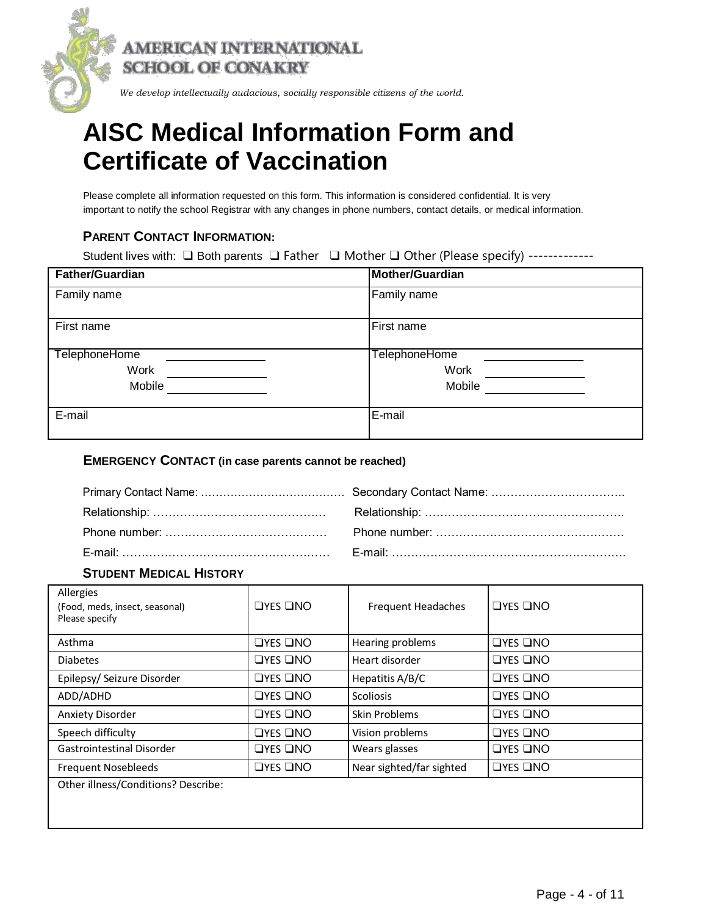

*We develop intellectually audacious, socially responsible citizens of the world.*

# **AISC Medical Information Form and Certificate of Vaccination**

Please complete all information requested on this form. This information is considered confidential. It is very important to notify the school Registrar with any changes in phone numbers, contact details, or medical information.

#### **PARENT CONTACT INFORMATION:**

|  | Student lives with: $\Box$ Both parents $\Box$ Father $\Box$ Mother $\Box$ Other (Please specify) ------------ |
|--|----------------------------------------------------------------------------------------------------------------|
|--|----------------------------------------------------------------------------------------------------------------|

| <b>Father/Guardian</b> | Mother/Guardian |
|------------------------|-----------------|
| Family name            | Family name     |
| First name             | First name      |
| TelephoneHome          | TelephoneHome   |
| Work                   | Work            |
| Mobile                 | Mobile          |
| E-mail                 | E-mail          |

#### **EMERGENCY CONTACT (in case parents cannot be reached)**

| E-mail: ……………………………………………………… |
|-------------------------------|

#### **STUDENT MEDICAL HISTORY**

| Allergies<br>(Food, meds, insect, seasonal)<br>Please specify | $\Box$ YES $\Box$ NO | <b>Frequent Headaches</b> | $\Box$ YES $\Box$ NO |
|---------------------------------------------------------------|----------------------|---------------------------|----------------------|
| Asthma                                                        | $\Box$ YES $\Box$ NO | Hearing problems          | $\Box$ YES $\Box$ NO |
| <b>Diabetes</b>                                               | $\Box$ YES $\Box$ NO | Heart disorder            | $\Box$ YES $\Box$ NO |
| Epilepsy/ Seizure Disorder                                    | <b>OYES ONO</b>      | Hepatitis A/B/C           | $\Box$ YES $\Box$ NO |
| ADD/ADHD                                                      | $\Box$ YES $\Box$ NO | <b>Scoliosis</b>          | $\Box$ YES $\Box$ NO |
| <b>Anxiety Disorder</b>                                       | $\Box$ YES $\Box$ NO | Skin Problems             | $\Box$ YES $\Box$ NO |
| Speech difficulty                                             | $\Box$ YES $\Box$ NO | Vision problems           | $\Box$ YES $\Box$ NO |
| <b>Gastrointestinal Disorder</b>                              | $\Box$ YES $\Box$ NO | Wears glasses             | $\Box$ YES $\Box$ NO |
| <b>Frequent Nosebleeds</b>                                    | $\Box$ YES $\Box$ NO | Near sighted/far sighted  | $\Box$ YES $\Box$ NO |
| Other illness/Conditions? Describe:                           |                      |                           |                      |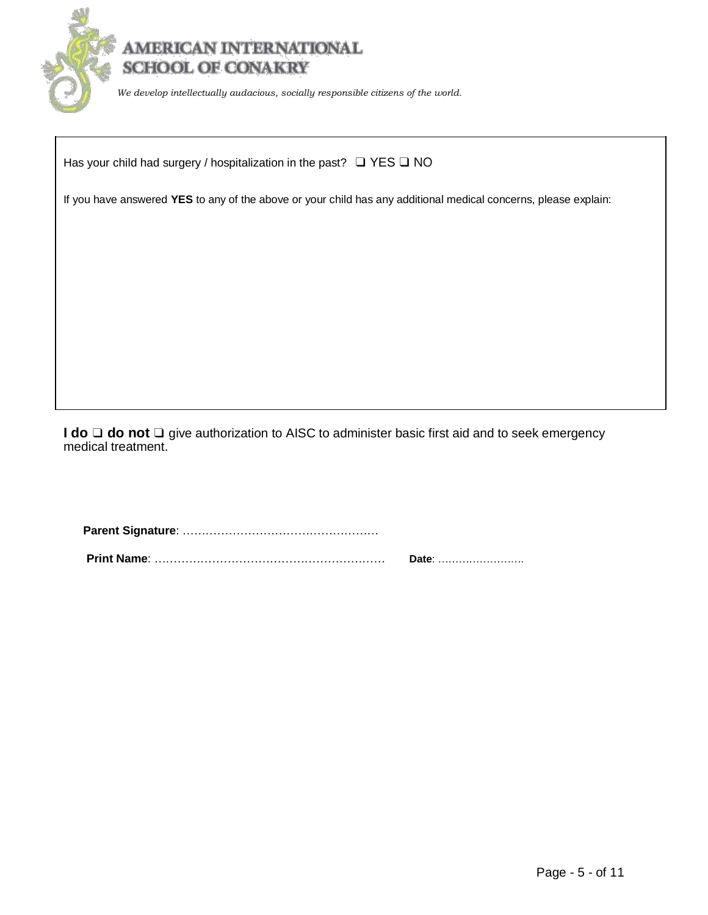

Has your child had surgery / hospitalization in the past? □ YES □ NO

If you have answered **YES** to any of the above or your child has any additional medical concerns, please explain:

**I do** ❑ **do not** ❑ give authorization to AISC to administer basic first aid and to seek emergency medical treatment.

**Parent Signature**: …………………………………………… **Print Name**: …………………………………………………… **Date**: …………………….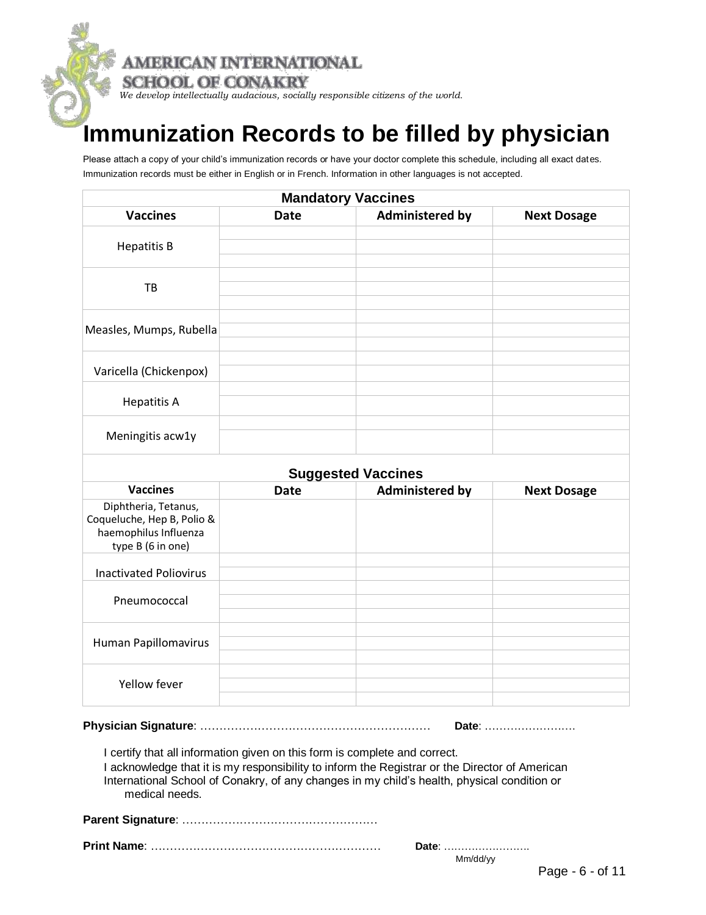

# **Immunization Records to be filled by physician**

Please attach a copy of your child's immunization records or have your doctor complete this schedule, including all exact dates. Immunization records must be either in English or in French. Information in other languages is not accepted.

| <b>Mandatory Vaccines</b>                                                                        |             |                           |                    |  |
|--------------------------------------------------------------------------------------------------|-------------|---------------------------|--------------------|--|
| <b>Vaccines</b>                                                                                  | <b>Date</b> | <b>Administered by</b>    | <b>Next Dosage</b> |  |
| <b>Hepatitis B</b>                                                                               |             |                           |                    |  |
| TB                                                                                               |             |                           |                    |  |
| Measles, Mumps, Rubella                                                                          |             |                           |                    |  |
| Varicella (Chickenpox)                                                                           |             |                           |                    |  |
| <b>Hepatitis A</b>                                                                               |             |                           |                    |  |
| Meningitis acw1y                                                                                 |             |                           |                    |  |
|                                                                                                  |             | <b>Suggested Vaccines</b> |                    |  |
| <b>Vaccines</b>                                                                                  | <b>Date</b> | <b>Administered by</b>    | <b>Next Dosage</b> |  |
| Diphtheria, Tetanus,<br>Coqueluche, Hep B, Polio &<br>haemophilus Influenza<br>type B (6 in one) |             |                           |                    |  |
| <b>Inactivated Poliovirus</b>                                                                    |             |                           |                    |  |
| Pneumococcal                                                                                     |             |                           |                    |  |
| Human Papillomavirus                                                                             |             |                           |                    |  |
| Yellow fever                                                                                     |             |                           |                    |  |

**Physician Signature**: …………………………………………………… **Date**: …………………….

I certify that all information given on this form is complete and correct.

I acknowledge that it is my responsibility to inform the Registrar or the Director of American International School of Conakry, of any changes in my child's health, physical condition or medical needs.

**Parent Signature**: ……………………………………………

**Print Name**: …………………………………………………… **Date**: …………………….

Mm/dd/yy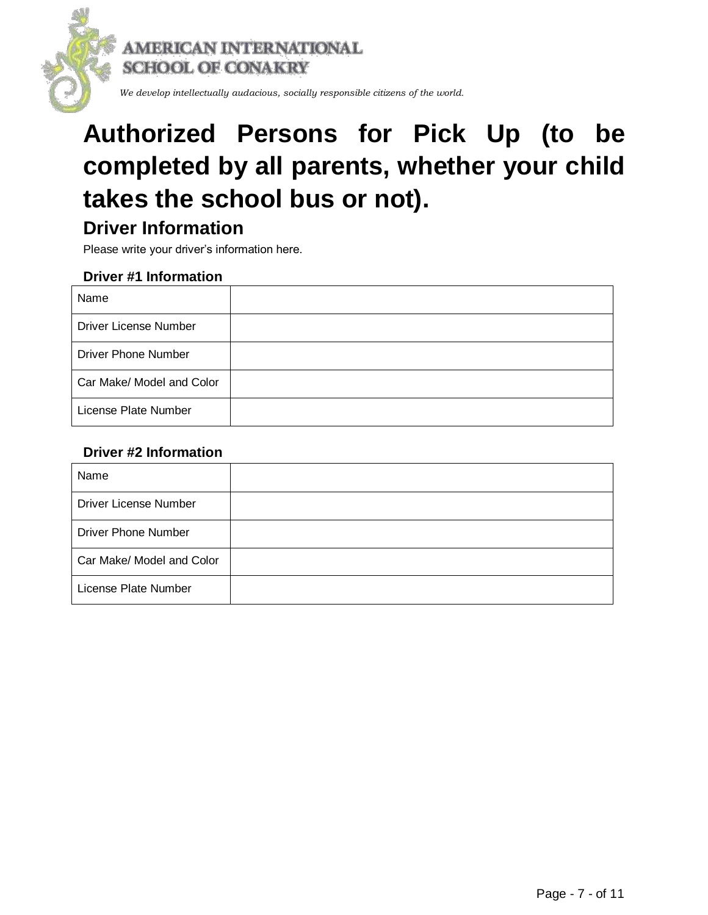

# **Authorized Persons for Pick Up (to be completed by all parents, whether your child takes the school bus or not).**

## **Driver Information**

Please write your driver's information here.

#### **Driver #1 Information**

| Name                         |  |
|------------------------------|--|
| <b>Driver License Number</b> |  |
| <b>Driver Phone Number</b>   |  |
| Car Make/ Model and Color    |  |
| License Plate Number         |  |

### **Driver #2 Information**

| Name                         |  |
|------------------------------|--|
| <b>Driver License Number</b> |  |
| <b>Driver Phone Number</b>   |  |
| Car Make/ Model and Color    |  |
| License Plate Number         |  |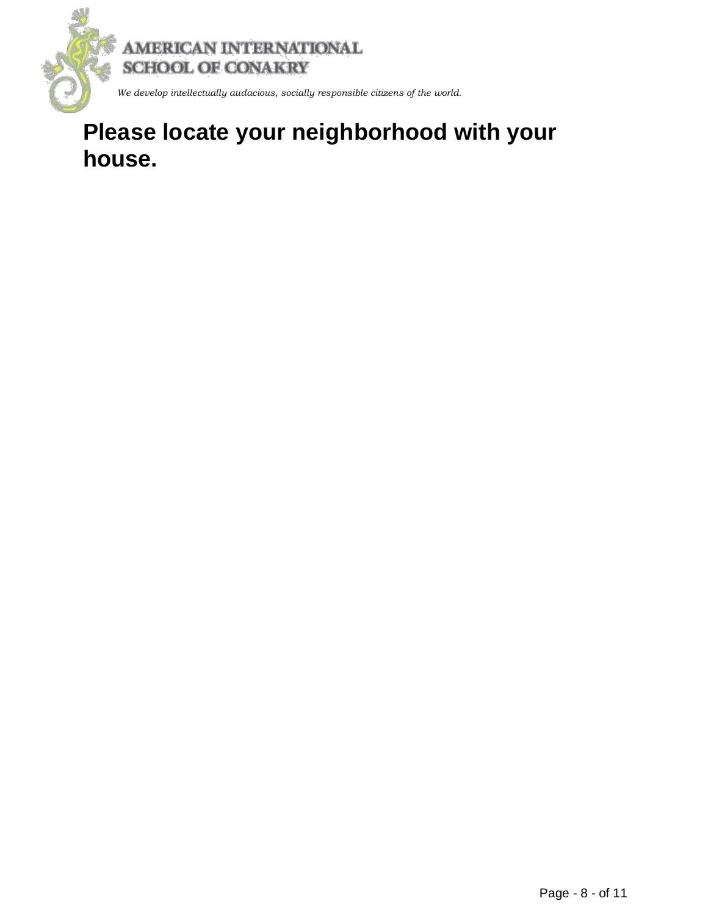

# **Please locate your neighborhood with your house.**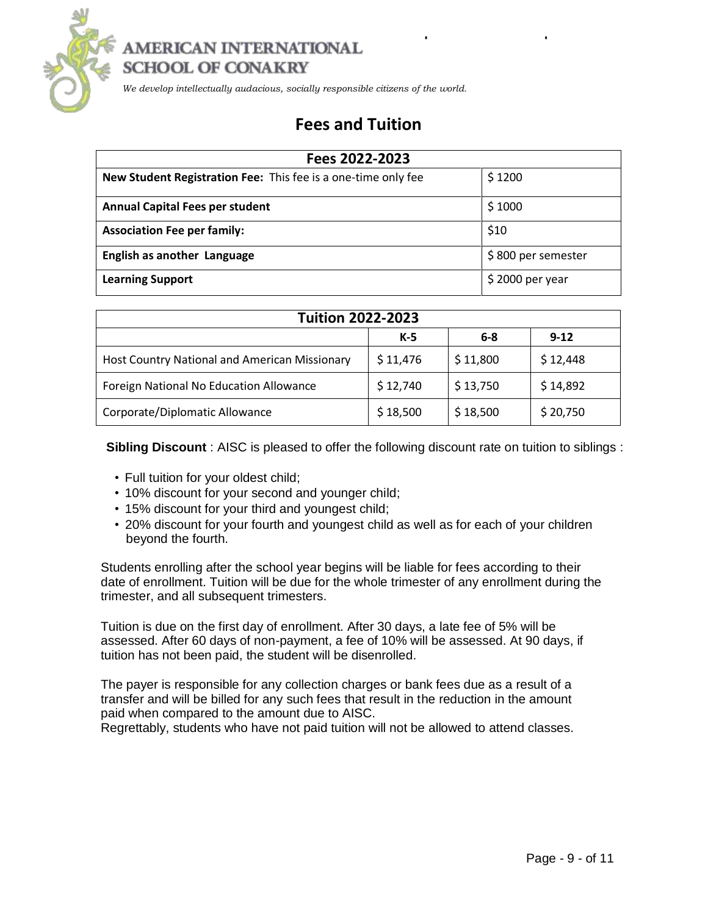

### AMERICAN INTERNATIONAL **SCHOOL OF CONAKRY**

 *We develop intellectually audacious, socially responsible citizens of the world.*

### **Fees and Tuition**

| Fees 2022-2023                                                |                    |  |  |  |
|---------------------------------------------------------------|--------------------|--|--|--|
| New Student Registration Fee: This fee is a one-time only fee | \$1200             |  |  |  |
| <b>Annual Capital Fees per student</b>                        | \$1000             |  |  |  |
| <b>Association Fee per family:</b>                            | \$10               |  |  |  |
| <b>English as another Language</b>                            | \$800 per semester |  |  |  |
| <b>Learning Support</b>                                       | $$2000$ per year   |  |  |  |

| <b>Tuition 2022-2023</b>                      |          |          |          |  |  |  |
|-----------------------------------------------|----------|----------|----------|--|--|--|
|                                               | K-5      | $6 - 8$  | $9-12$   |  |  |  |
| Host Country National and American Missionary | \$11,476 | \$11,800 | \$12,448 |  |  |  |
| Foreign National No Education Allowance       | \$12,740 | \$13,750 | \$14,892 |  |  |  |
| Corporate/Diplomatic Allowance                | \$18,500 | \$18,500 | \$20,750 |  |  |  |

**Sibling Discount** : AISC is pleased to offer the following discount rate on tuition to siblings :

- Full tuition for your oldest child;
- 10% discount for your second and younger child;
- 15% discount for your third and youngest child;
- 20% discount for your fourth and youngest child as well as for each of your children beyond the fourth.

Students enrolling after the school year begins will be liable for fees according to their date of enrollment. Tuition will be due for the whole trimester of any enrollment during the trimester, and all subsequent trimesters.

Tuition is due on the first day of enrollment. After 30 days, a late fee of 5% will be assessed. After 60 days of non-payment, a fee of 10% will be assessed. At 90 days, if tuition has not been paid, the student will be disenrolled.

The payer is responsible for any collection charges or bank fees due as a result of a transfer and will be billed for any such fees that result in the reduction in the amount paid when compared to the amount due to AISC.

Regrettably, students who have not paid tuition will not be allowed to attend classes.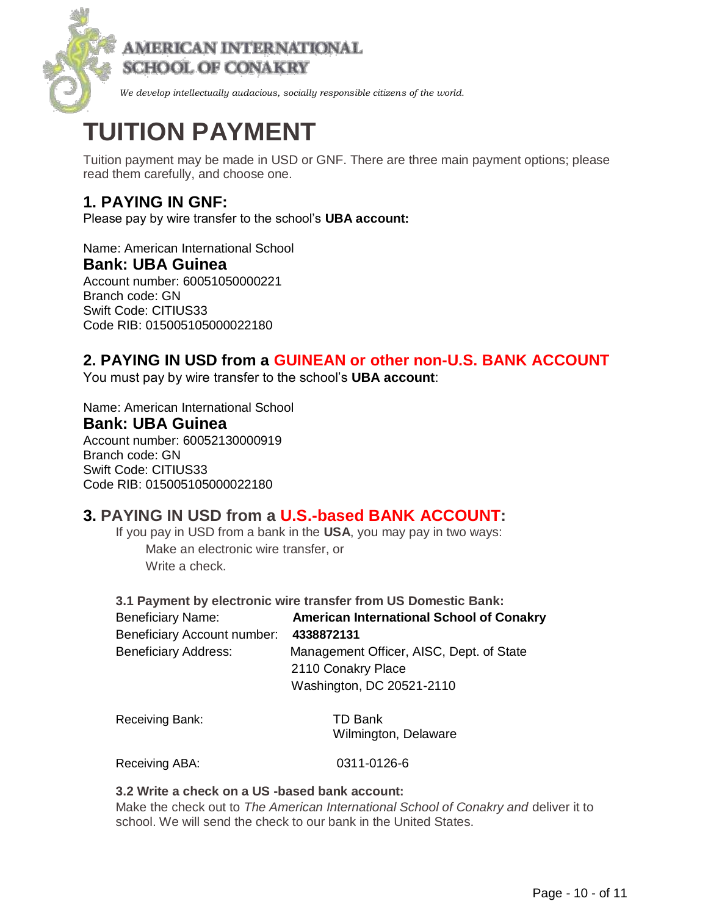

# **TUITION PAYMENT**

Tuition payment may be made in USD or GNF. There are three main payment options; please read them carefully, and choose one.

### **1. PAYING IN GNF:**

Please pay by wire transfer to the school's **UBA account:**

Name: American International School **Bank: UBA Guinea** Account number: 60051050000221 Branch code: GN Swift Code: CITIUS33 Code RIB: 015005105000022180

### **2. PAYING IN USD from a GUINEAN or other non-U.S. BANK ACCOUNT**

You must pay by wire transfer to the school's **UBA account**:

Name: American International School **Bank: UBA Guinea**

Account number: 60052130000919 Branch code: GN Swift Code: CITIUS33 Code RIB: 015005105000022180

### **3. PAYING IN USD from a U.S.-based BANK ACCOUNT:**

If you pay in USD from a bank in the **USA**, you may pay in two ways: Make an electronic wire transfer, or Write a check.

**3.1 Payment by electronic wire transfer from US Domestic Bank:** Beneficiary Name: **American International School of Conakry** Beneficiary Account number: **4338872131** Beneficiary Address: Management Officer, AISC, Dept. of State 2110 Conakry Place Washington, DC 20521-2110

Receiving Bank: TD Bank

Wilmington, Delaware

Receiving ABA: 0311-0126-6

#### **3.2 Write a check on a US -based bank account:**

Make the check out to *The American International School of Conakry and* deliver it to school. We will send the check to our bank in the United States.